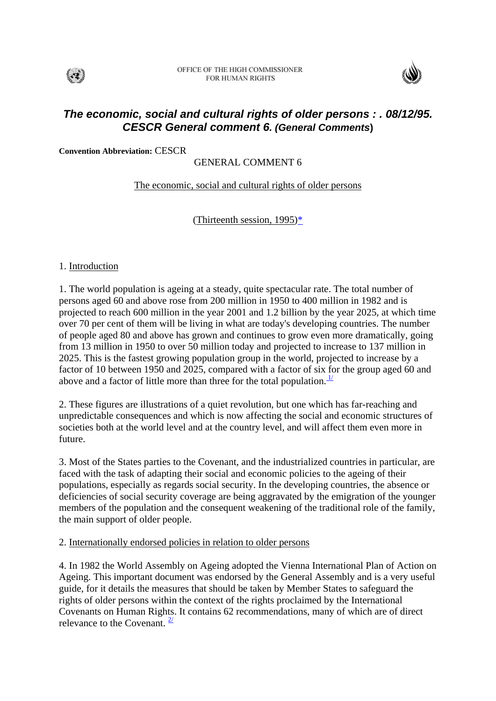



# *The economic, social and cultural rights of older persons : . 08/12/95. CESCR General comment 6. (General Comments***)**

**Convention Abbreviation:** CESCR

GENERAL COMMENT 6

The economic, social and cultural rights of older persons

(Thirteenth session,  $1995$ [\)\\*](http://www.unhchr.ch/tbs/doc.nsf/099b725fe87555ec8025670c004fc803/482a0aced8049067c12563ed005acf9e?OpenDocument#*%20Contained)

#### 1. Introduction

1. The world population is ageing at a steady, quite spectacular rate. The total number of persons aged 60 and above rose from 200 million in 1950 to 400 million in 1982 and is projected to reach 600 million in the year 2001 and 1.2 billion by the year 2025, at which time over 70 per cent of them will be living in what are today's developing countries. The number of people aged 80 and above has grown and continues to grow even more dramatically, going from 13 million in 1950 to over 50 million today and projected to increase to 137 million in 2025. This is the fastest growing population group in the world, projected to increase by a factor of 10 between 1950 and 2025, compared with a factor of six for the group aged 60 and above and a factor of little more than three for the total population.  $\frac{1}{1}$ 

2. These figures are illustrations of a quiet revolution, but one which has far-reaching and unpredictable consequences and which is now affecting the social and economic structures of societies both at the world level and at the country level, and will affect them even more in future.

3. Most of the States parties to the Covenant, and the industrialized countries in particular, are faced with the task of adapting their social and economic policies to the ageing of their populations, especially as regards social security. In the developing countries, the absence or deficiencies of social security coverage are being aggravated by the emigration of the younger members of the population and the consequent weakening of the traditional role of the family, the main support of older people.

#### 2. Internationally endorsed policies in relation to older persons

4. In 1982 the World Assembly on Ageing adopted the Vienna International Plan of Action on Ageing. This important document was endorsed by the General Assembly and is a very useful guide, for it details the measures that should be taken by Member States to safeguard the rights of older persons within the context of the rights proclaimed by the International Covenants on Human Rights. It contains 62 recommendations, many of which are of direct relevance to the Covenant.  $\frac{2}{3}$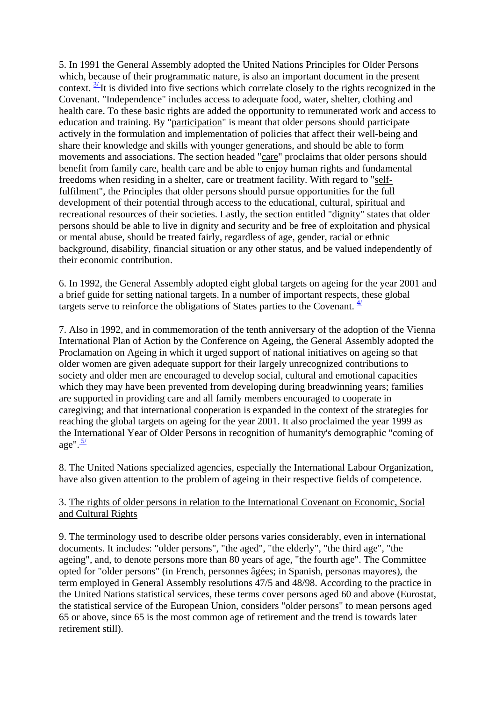5. In 1991 the General Assembly adopted the United Nations Principles for Older Persons which, because of their programmatic nature, is also an important document in the present context.  $\frac{3}{1}$ It is divided into five sections which correlate closely to the rights recognized in the Covenant. "Independence" includes access to adequate food, water, shelter, clothing and health care. To these basic rights are added the opportunity to remunerated work and access to education and training. By "participation" is meant that older persons should participate actively in the formulation and implementation of policies that affect their well-being and share their knowledge and skills with younger generations, and should be able to form movements and associations. The section headed "care" proclaims that older persons should benefit from family care, health care and be able to enjoy human rights and fundamental freedoms when residing in a shelter, care or treatment facility. With regard to "selffulfilment", the Principles that older persons should pursue opportunities for the full development of their potential through access to the educational, cultural, spiritual and recreational resources of their societies. Lastly, the section entitled "dignity" states that older persons should be able to live in dignity and security and be free of exploitation and physical or mental abuse, should be treated fairly, regardless of age, gender, racial or ethnic background, disability, financial situation or any other status, and be valued independently of their economic contribution.

6. In 1992, the General Assembly adopted eight global targets on ageing for the year 2001 and a brief guide for setting national targets. In a number of important respects, these global targets serve to reinforce the obligations of States parties to the Covenant.  $\frac{4}{3}$ 

7. Also in 1992, and in commemoration of the tenth anniversary of the adoption of the Vienna International Plan of Action by the Conference on Ageing, the General Assembly adopted the Proclamation on Ageing in which it urged support of national initiatives on ageing so that older women are given adequate support for their largely unrecognized contributions to society and older men are encouraged to develop social, cultural and emotional capacities which they may have been prevented from developing during breadwinning years; families are supported in providing care and all family members encouraged to cooperate in caregiving; and that international cooperation is expanded in the context of the strategies for reaching the global targets on ageing for the year 2001. It also proclaimed the year 1999 as the International Year of Older Persons in recognition of humanity's demographic "coming of age". $\frac{5}{2}$ 

8. The United Nations specialized agencies, especially the International Labour Organization, have also given attention to the problem of ageing in their respective fields of competence.

3. The rights of older persons in relation to the International Covenant on Economic, Social and Cultural Rights

9. The terminology used to describe older persons varies considerably, even in international documents. It includes: "older persons", "the aged", "the elderly", "the third age", "the ageing", and, to denote persons more than 80 years of age, "the fourth age". The Committee opted for "older persons" (in French, personnes âgées; in Spanish, personas mayores), the term employed in General Assembly resolutions 47/5 and 48/98. According to the practice in the United Nations statistical services, these terms cover persons aged 60 and above (Eurostat, the statistical service of the European Union, considers "older persons" to mean persons aged 65 or above, since 65 is the most common age of retirement and the trend is towards later retirement still).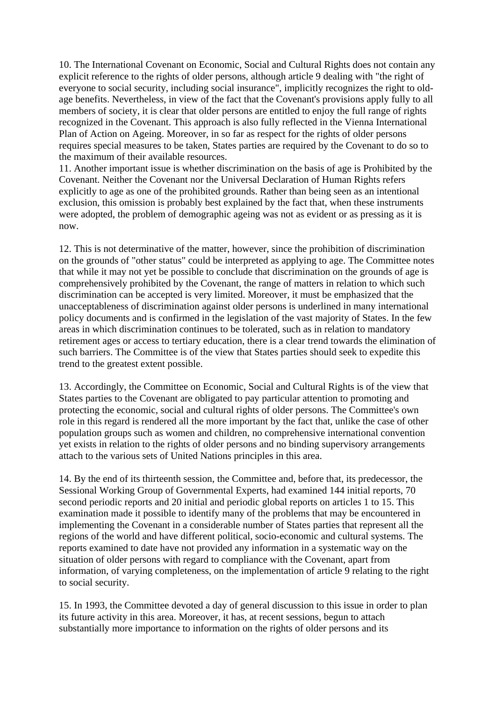10. The International Covenant on Economic, Social and Cultural Rights does not contain any explicit reference to the rights of older persons, although article 9 dealing with "the right of everyone to social security, including social insurance", implicitly recognizes the right to oldage benefits. Nevertheless, in view of the fact that the Covenant's provisions apply fully to all members of society, it is clear that older persons are entitled to enjoy the full range of rights recognized in the Covenant. This approach is also fully reflected in the Vienna International Plan of Action on Ageing. Moreover, in so far as respect for the rights of older persons requires special measures to be taken, States parties are required by the Covenant to do so to the maximum of their available resources.

11. Another important issue is whether discrimination on the basis of age is Prohibited by the Covenant. Neither the Covenant nor the Universal Declaration of Human Rights refers explicitly to age as one of the prohibited grounds. Rather than being seen as an intentional exclusion, this omission is probably best explained by the fact that, when these instruments were adopted, the problem of demographic ageing was not as evident or as pressing as it is now.

12. This is not determinative of the matter, however, since the prohibition of discrimination on the grounds of "other status" could be interpreted as applying to age. The Committee notes that while it may not yet be possible to conclude that discrimination on the grounds of age is comprehensively prohibited by the Covenant, the range of matters in relation to which such discrimination can be accepted is very limited. Moreover, it must be emphasized that the unacceptableness of discrimination against older persons is underlined in many international policy documents and is confirmed in the legislation of the vast majority of States. In the few areas in which discrimination continues to be tolerated, such as in relation to mandatory retirement ages or access to tertiary education, there is a clear trend towards the elimination of such barriers. The Committee is of the view that States parties should seek to expedite this trend to the greatest extent possible.

13. Accordingly, the Committee on Economic, Social and Cultural Rights is of the view that States parties to the Covenant are obligated to pay particular attention to promoting and protecting the economic, social and cultural rights of older persons. The Committee's own role in this regard is rendered all the more important by the fact that, unlike the case of other population groups such as women and children, no comprehensive international convention yet exists in relation to the rights of older persons and no binding supervisory arrangements attach to the various sets of United Nations principles in this area.

14. By the end of its thirteenth session, the Committee and, before that, its predecessor, the Sessional Working Group of Governmental Experts, had examined 144 initial reports, 70 second periodic reports and 20 initial and periodic global reports on articles 1 to 15. This examination made it possible to identify many of the problems that may be encountered in implementing the Covenant in a considerable number of States parties that represent all the regions of the world and have different political, socio-economic and cultural systems. The reports examined to date have not provided any information in a systematic way on the situation of older persons with regard to compliance with the Covenant, apart from information, of varying completeness, on the implementation of article 9 relating to the right to social security.

15. In 1993, the Committee devoted a day of general discussion to this issue in order to plan its future activity in this area. Moreover, it has, at recent sessions, begun to attach substantially more importance to information on the rights of older persons and its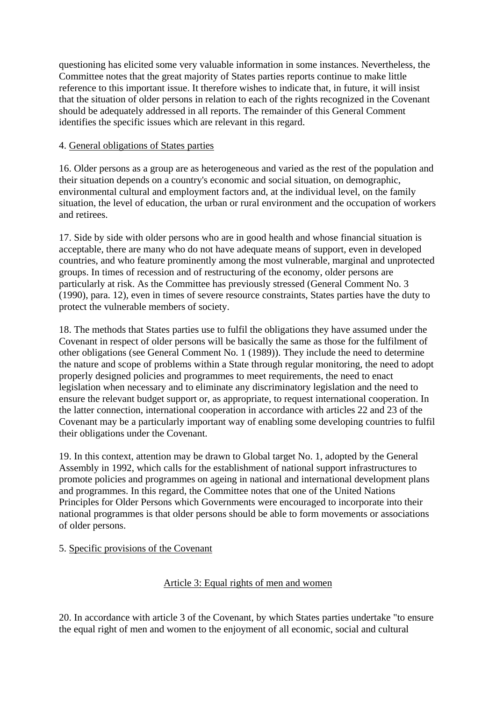questioning has elicited some very valuable information in some instances. Nevertheless, the Committee notes that the great majority of States parties reports continue to make little reference to this important issue. It therefore wishes to indicate that, in future, it will insist that the situation of older persons in relation to each of the rights recognized in the Covenant should be adequately addressed in all reports. The remainder of this General Comment identifies the specific issues which are relevant in this regard.

### 4. General obligations of States parties

16. Older persons as a group are as heterogeneous and varied as the rest of the population and their situation depends on a country's economic and social situation, on demographic, environmental cultural and employment factors and, at the individual level, on the family situation, the level of education, the urban or rural environment and the occupation of workers and retirees.

17. Side by side with older persons who are in good health and whose financial situation is acceptable, there are many who do not have adequate means of support, even in developed countries, and who feature prominently among the most vulnerable, marginal and unprotected groups. In times of recession and of restructuring of the economy, older persons are particularly at risk. As the Committee has previously stressed (General Comment No. 3 (1990), para. 12), even in times of severe resource constraints, States parties have the duty to protect the vulnerable members of society.

18. The methods that States parties use to fulfil the obligations they have assumed under the Covenant in respect of older persons will be basically the same as those for the fulfilment of other obligations (see General Comment No. 1 (1989)). They include the need to determine the nature and scope of problems within a State through regular monitoring, the need to adopt properly designed policies and programmes to meet requirements, the need to enact legislation when necessary and to eliminate any discriminatory legislation and the need to ensure the relevant budget support or, as appropriate, to request international cooperation. In the latter connection, international cooperation in accordance with articles 22 and 23 of the Covenant may be a particularly important way of enabling some developing countries to fulfil their obligations under the Covenant.

19. In this context, attention may be drawn to Global target No. 1, adopted by the General Assembly in 1992, which calls for the establishment of national support infrastructures to promote policies and programmes on ageing in national and international development plans and programmes. In this regard, the Committee notes that one of the United Nations Principles for Older Persons which Governments were encouraged to incorporate into their national programmes is that older persons should be able to form movements or associations of older persons.

### 5. Specific provisions of the Covenant

### Article 3: Equal rights of men and women

20. In accordance with article 3 of the Covenant, by which States parties undertake "to ensure the equal right of men and women to the enjoyment of all economic, social and cultural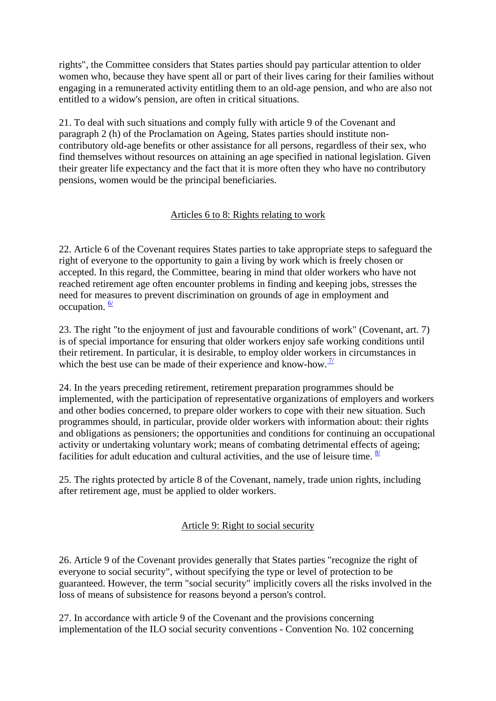rights", the Committee considers that States parties should pay particular attention to older women who, because they have spent all or part of their lives caring for their families without engaging in a remunerated activity entitling them to an old-age pension, and who are also not entitled to a widow's pension, are often in critical situations.

21. To deal with such situations and comply fully with article 9 of the Covenant and paragraph 2 (h) of the Proclamation on Ageing, States parties should institute noncontributory old-age benefits or other assistance for all persons, regardless of their sex, who find themselves without resources on attaining an age specified in national legislation. Given their greater life expectancy and the fact that it is more often they who have no contributory pensions, women would be the principal beneficiaries.

## Articles 6 to 8: Rights relating to work

22. Article 6 of the Covenant requires States parties to take appropriate steps to safeguard the right of everyone to the opportunity to gain a living by work which is freely chosen or accepted. In this regard, the Committee, bearing in mind that older workers who have not reached retirement age often encounter problems in finding and keeping jobs, stresses the need for measures to prevent discrimination on grounds of age in employment and occupation.  $\frac{6}{ }$ 

23. The right "to the enjoyment of just and favourable conditions of work" (Covenant, art. 7) is of special importance for ensuring that older workers enjoy safe working conditions until their retirement. In particular, it is desirable, to employ older workers in circumstances in which the best use can be made of their experience and know-how.  $\frac{7}{1}$ 

24. In the years preceding retirement, retirement preparation programmes should be implemented, with the participation of representative organizations of employers and workers and other bodies concerned, to prepare older workers to cope with their new situation. Such programmes should, in particular, provide older workers with information about: their rights and obligations as pensioners; the opportunities and conditions for continuing an occupational activity or undertaking voluntary work; means of combating detrimental effects of ageing; facilities for adult education and cultural activities, and the use of leisure time.  $\frac{8}{2}$ 

25. The rights protected by article 8 of the Covenant, namely, trade union rights, including after retirement age, must be applied to older workers.

### Article 9: Right to social security

26. Article 9 of the Covenant provides generally that States parties "recognize the right of everyone to social security", without specifying the type or level of protection to be guaranteed. However, the term "social security" implicitly covers all the risks involved in the loss of means of subsistence for reasons beyond a person's control.

27. In accordance with article 9 of the Covenant and the provisions concerning implementation of the ILO social security conventions - Convention No. 102 concerning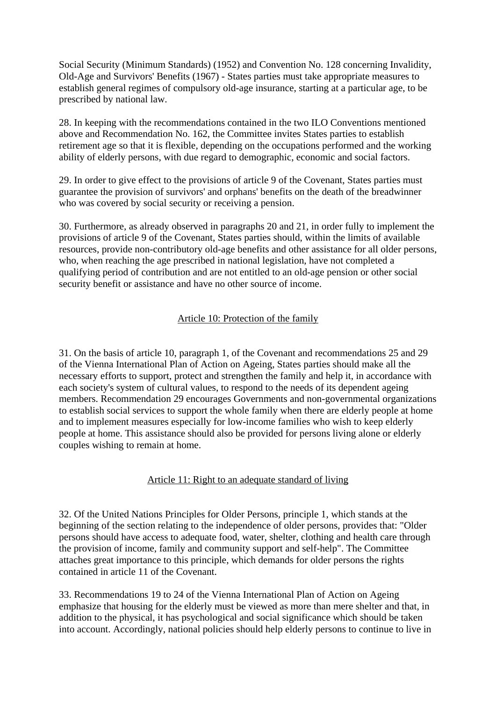Social Security (Minimum Standards) (1952) and Convention No. 128 concerning Invalidity, Old-Age and Survivors' Benefits (1967) - States parties must take appropriate measures to establish general regimes of compulsory old-age insurance, starting at a particular age, to be prescribed by national law.

28. In keeping with the recommendations contained in the two ILO Conventions mentioned above and Recommendation No. 162, the Committee invites States parties to establish retirement age so that it is flexible, depending on the occupations performed and the working ability of elderly persons, with due regard to demographic, economic and social factors.

29. In order to give effect to the provisions of article 9 of the Covenant, States parties must guarantee the provision of survivors' and orphans' benefits on the death of the breadwinner who was covered by social security or receiving a pension.

30. Furthermore, as already observed in paragraphs 20 and 21, in order fully to implement the provisions of article 9 of the Covenant, States parties should, within the limits of available resources, provide non-contributory old-age benefits and other assistance for all older persons, who, when reaching the age prescribed in national legislation, have not completed a qualifying period of contribution and are not entitled to an old-age pension or other social security benefit or assistance and have no other source of income.

### Article 10: Protection of the family

31. On the basis of article 10, paragraph 1, of the Covenant and recommendations 25 and 29 of the Vienna International Plan of Action on Ageing, States parties should make all the necessary efforts to support, protect and strengthen the family and help it, in accordance with each society's system of cultural values, to respond to the needs of its dependent ageing members. Recommendation 29 encourages Governments and non-governmental organizations to establish social services to support the whole family when there are elderly people at home and to implement measures especially for low-income families who wish to keep elderly people at home. This assistance should also be provided for persons living alone or elderly couples wishing to remain at home.

### Article 11: Right to an adequate standard of living

32. Of the United Nations Principles for Older Persons, principle 1, which stands at the beginning of the section relating to the independence of older persons, provides that: "Older persons should have access to adequate food, water, shelter, clothing and health care through the provision of income, family and community support and self-help". The Committee attaches great importance to this principle, which demands for older persons the rights contained in article 11 of the Covenant.

33. Recommendations 19 to 24 of the Vienna International Plan of Action on Ageing emphasize that housing for the elderly must be viewed as more than mere shelter and that, in addition to the physical, it has psychological and social significance which should be taken into account. Accordingly, national policies should help elderly persons to continue to live in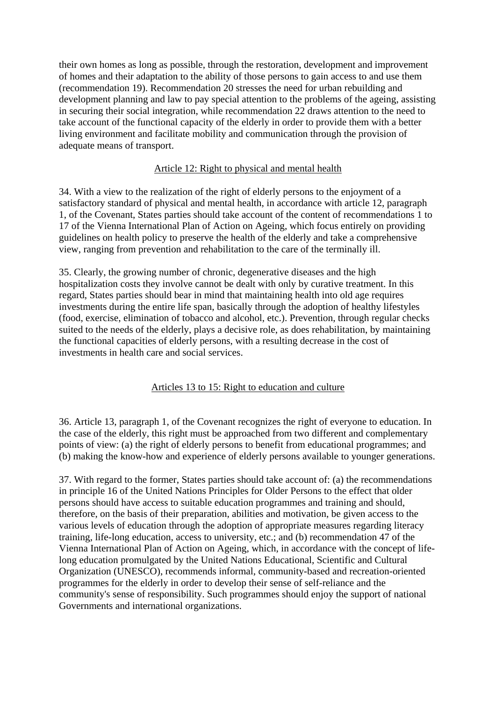their own homes as long as possible, through the restoration, development and improvement of homes and their adaptation to the ability of those persons to gain access to and use them (recommendation 19). Recommendation 20 stresses the need for urban rebuilding and development planning and law to pay special attention to the problems of the ageing, assisting in securing their social integration, while recommendation 22 draws attention to the need to take account of the functional capacity of the elderly in order to provide them with a better living environment and facilitate mobility and communication through the provision of adequate means of transport.

### Article 12: Right to physical and mental health

34. With a view to the realization of the right of elderly persons to the enjoyment of a satisfactory standard of physical and mental health, in accordance with article 12, paragraph 1, of the Covenant, States parties should take account of the content of recommendations 1 to 17 of the Vienna International Plan of Action on Ageing, which focus entirely on providing guidelines on health policy to preserve the health of the elderly and take a comprehensive view, ranging from prevention and rehabilitation to the care of the terminally ill.

35. Clearly, the growing number of chronic, degenerative diseases and the high hospitalization costs they involve cannot be dealt with only by curative treatment. In this regard, States parties should bear in mind that maintaining health into old age requires investments during the entire life span, basically through the adoption of healthy lifestyles (food, exercise, elimination of tobacco and alcohol, etc.). Prevention, through regular checks suited to the needs of the elderly, plays a decisive role, as does rehabilitation, by maintaining the functional capacities of elderly persons, with a resulting decrease in the cost of investments in health care and social services.

### Articles 13 to 15: Right to education and culture

36. Article 13, paragraph 1, of the Covenant recognizes the right of everyone to education. In the case of the elderly, this right must be approached from two different and complementary points of view: (a) the right of elderly persons to benefit from educational programmes; and (b) making the know-how and experience of elderly persons available to younger generations.

37. With regard to the former, States parties should take account of: (a) the recommendations in principle 16 of the United Nations Principles for Older Persons to the effect that older persons should have access to suitable education programmes and training and should, therefore, on the basis of their preparation, abilities and motivation, be given access to the various levels of education through the adoption of appropriate measures regarding literacy training, life-long education, access to university, etc.; and (b) recommendation 47 of the Vienna International Plan of Action on Ageing, which, in accordance with the concept of lifelong education promulgated by the United Nations Educational, Scientific and Cultural Organization (UNESCO), recommends informal, community-based and recreation-oriented programmes for the elderly in order to develop their sense of self-reliance and the community's sense of responsibility. Such programmes should enjoy the support of national Governments and international organizations.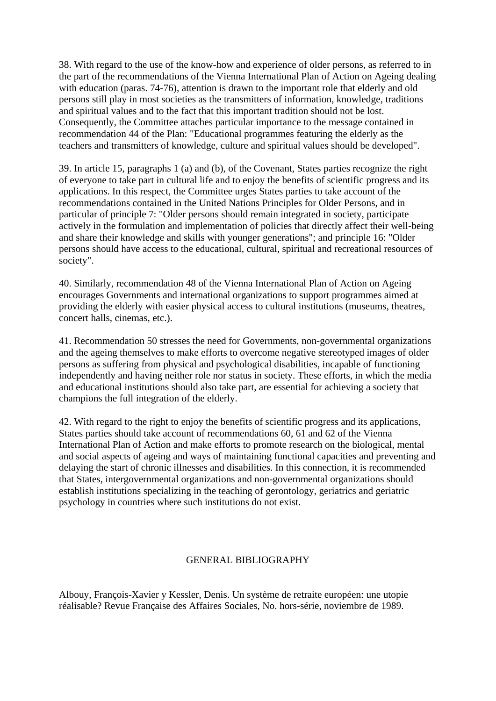38. With regard to the use of the know-how and experience of older persons, as referred to in the part of the recommendations of the Vienna International Plan of Action on Ageing dealing with education (paras. 74-76), attention is drawn to the important role that elderly and old persons still play in most societies as the transmitters of information, knowledge, traditions and spiritual values and to the fact that this important tradition should not be lost. Consequently, the Committee attaches particular importance to the message contained in recommendation 44 of the Plan: "Educational programmes featuring the elderly as the teachers and transmitters of knowledge, culture and spiritual values should be developed".

39. In article 15, paragraphs 1 (a) and (b), of the Covenant, States parties recognize the right of everyone to take part in cultural life and to enjoy the benefits of scientific progress and its applications. In this respect, the Committee urges States parties to take account of the recommendations contained in the United Nations Principles for Older Persons, and in particular of principle 7: "Older persons should remain integrated in society, participate actively in the formulation and implementation of policies that directly affect their well-being and share their knowledge and skills with younger generations"; and principle 16: "Older persons should have access to the educational, cultural, spiritual and recreational resources of society".

40. Similarly, recommendation 48 of the Vienna International Plan of Action on Ageing encourages Governments and international organizations to support programmes aimed at providing the elderly with easier physical access to cultural institutions (museums, theatres, concert halls, cinemas, etc.).

41. Recommendation 50 stresses the need for Governments, non-governmental organizations and the ageing themselves to make efforts to overcome negative stereotyped images of older persons as suffering from physical and psychological disabilities, incapable of functioning independently and having neither role nor status in society. These efforts, in which the media and educational institutions should also take part, are essential for achieving a society that champions the full integration of the elderly.

42. With regard to the right to enjoy the benefits of scientific progress and its applications, States parties should take account of recommendations 60, 61 and 62 of the Vienna International Plan of Action and make efforts to promote research on the biological, mental and social aspects of ageing and ways of maintaining functional capacities and preventing and delaying the start of chronic illnesses and disabilities. In this connection, it is recommended that States, intergovernmental organizations and non-governmental organizations should establish institutions specializing in the teaching of gerontology, geriatrics and geriatric psychology in countries where such institutions do not exist.

### GENERAL BIBLIOGRAPHY

Albouy, François-Xavier y Kessler, Denis. Un système de retraite européen: une utopie réalisable? Revue Française des Affaires Sociales, No. hors-série, noviembre de 1989.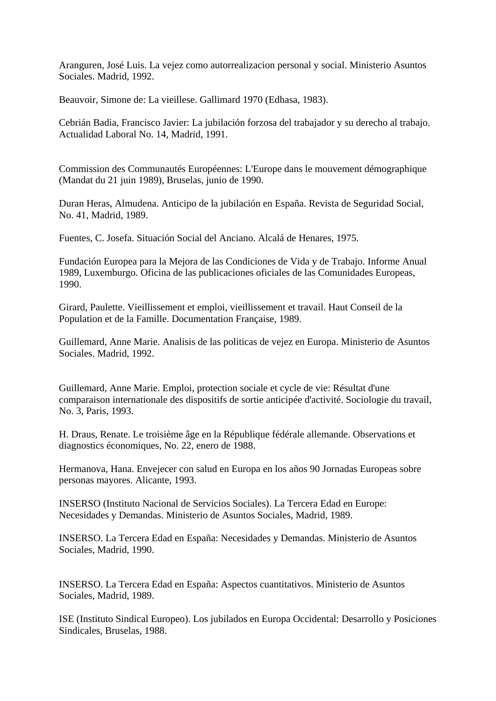Aranguren, José Luis. La vejez como autorrealizacion personal y social. Ministerio Asuntos Sociales. Madrid, 1992.

Beauvoir, Simone de: La vieillese. Gallimard 1970 (Edhasa, 1983).

Cebrián Badia, Francisco Javier: La jubilación forzosa del trabajador y su derecho al trabajo. Actualidad Laboral No. 14, Madrid, 1991.

Commission des Communautés Européennes: L'Europe dans le mouvement démographique (Mandat du 21 juin 1989), Bruselas, junio de 1990.

Duran Heras, Almudena. Anticipo de la jubilación en España. Revista de Seguridad Social, No. 41, Madrid, 1989.

Fuentes, C. Josefa. Situación Social del Anciano. Alcalá de Henares, 1975.

Fundación Europea para la Mejora de las Condiciones de Vida y de Trabajo. Informe Anual 1989, Luxemburgo. Oficina de las publicaciones oficiales de las Comunidades Europeas, 1990.

Girard, Paulette. Vieillissement et emploi, vieillissement et travail. Haut Conseil de la Population et de la Famille. Documentation Française, 1989.

Guillemard, Anne Marie. Analisis de las politicas de vejez en Europa. Ministerio de Asuntos Sociales. Madrid, 1992.

Guillemard, Anne Marie. Emploi, protection sociale et cycle de vie: Résultat d'une comparaison internationale des dispositifs de sortie anticipée d'activité. Sociologie du travail, No. 3, Paris, 1993.

H. Draus, Renate. Le troisième âge en la République fédérale allemande. Observations et diagnostics économiques, No. 22, enero de 1988.

Hermanova, Hana. Envejecer con salud en Europa en los años 90 Jornadas Europeas sobre personas mayores. Alicante, 1993.

INSERSO (Instituto Nacional de Servicios Sociales). La Tercera Edad en Europe: Necesidades y Demandas. Ministerio de Asuntos Sociales, Madrid, 1989.

INSERSO. La Tercera Edad en España: Necesidades y Demandas. Ministerio de Asuntos Sociales, Madrid, 1990.

INSERSO. La Tercera Edad en España: Aspectos cuantitativos. Ministerio de Asuntos Sociales, Madrid, 1989.

ISE (Instituto Sindical Europeo). Los jubilados en Europa Occidental: Desarrollo y Posiciones Sindicales, Bruselas, 1988.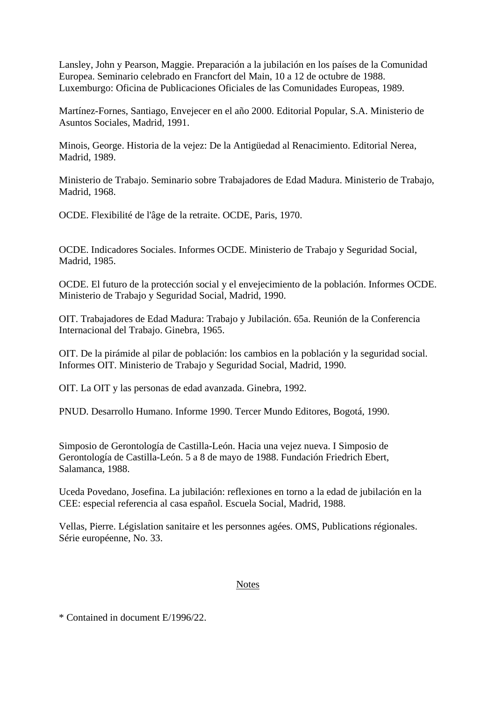Lansley, John y Pearson, Maggie. Preparación a la jubilación en los países de la Comunidad Europea. Seminario celebrado en Francfort del Main, 10 a 12 de octubre de 1988. Luxemburgo: Oficina de Publicaciones Oficiales de las Comunidades Europeas, 1989.

Martínez-Fornes, Santiago, Envejecer en el año 2000. Editorial Popular, S.A. Ministerio de Asuntos Sociales, Madrid, 1991.

Minois, George. Historia de la vejez: De la Antigüedad al Renacimiento. Editorial Nerea, Madrid, 1989.

Ministerio de Trabajo. Seminario sobre Trabajadores de Edad Madura. Ministerio de Trabajo, Madrid, 1968.

OCDE. Flexibilité de l'âge de la retraite. OCDE, Paris, 1970.

OCDE. Indicadores Sociales. Informes OCDE. Ministerio de Trabajo y Seguridad Social, Madrid, 1985.

OCDE. El futuro de la protección social y el envejecimiento de la población. Informes OCDE. Ministerio de Trabajo y Seguridad Social, Madrid, 1990.

OIT. Trabajadores de Edad Madura: Trabajo y Jubilación. 65a. Reunión de la Conferencia Internacional del Trabajo. Ginebra, 1965.

OIT. De la pirámide al pilar de población: los cambios en la población y la seguridad social. Informes OIT. Ministerio de Trabajo y Seguridad Social, Madrid, 1990.

OIT. La OIT y las personas de edad avanzada. Ginebra, 1992.

PNUD. Desarrollo Humano. Informe 1990. Tercer Mundo Editores, Bogotá, 1990.

Simposio de Gerontología de Castilla-León. Hacia una vejez nueva. I Simposio de Gerontología de Castilla-León. 5 a 8 de mayo de 1988. Fundación Friedrich Ebert, Salamanca, 1988.

Uceda Povedano, Josefina. La jubilación: reflexiones en torno a la edad de jubilación en la CEE: especial referencia al casa español. Escuela Social, Madrid, 1988.

Vellas, Pierre. Législation sanitaire et les personnes agées. OMS, Publications régionales. Série européenne, No. 33.

#### Notes

\* Contained in document E/1996/22.